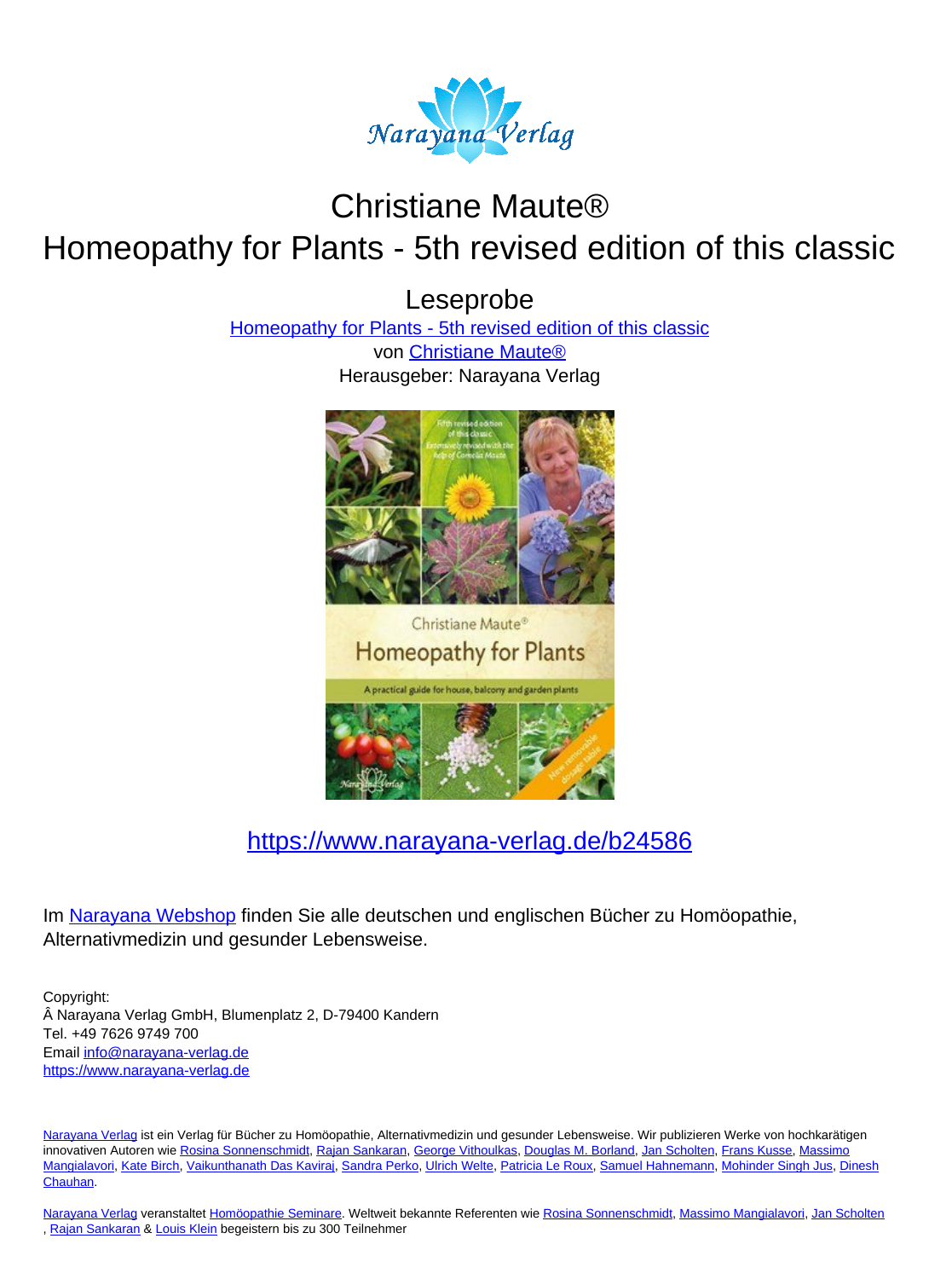

# Christiane Maute® Homeopathy for Plants - 5th revised edition of this classic

Leseprobe

[Homeopathy for Plants - 5th revised edition of this classic](https://www.narayana-verlag.de/Homeopathy-for-Plants-5th-revised-edition-of-this-classic-Christiane-Maute/b24586/partner/leseprobe)

von [Christiane Maute®](https://www.narayana-verlag.de/Christiane-Maute/a2448/partner/leseprobe) Herausgeber: Narayana Verlag



[https://www.narayana-verlag.de/b24586](https://www.narayana-verlag.de/Homeopathy-for-Plants-5th-revised-edition-of-this-classic-Christiane-Maute/b24586/partner/leseprobe)

Im Narayana Webshop finden Sie alle deutschen und englischen Bücher zu Homöopathie, Alternativmedizin und gesunder Lebensweise.

Copyright: Narayana Verlag GmbH, Blumenplatz 2, D-79400 Kandern Tel. +49 7626 9749 700 Email [info@narayana-verlag.de](mailto:info@narayana-verlag.de) https://www.narayana-verlag.de

Narayana Verlag ist ein Verlag für Bücher zu Homöopathie, Alternativmedizin und gesunder Lebensweise. Wir publizieren Werke von hochkarätigen innovativen Autoren wie Rosina Sonnenschmidt, Rajan Sankaran, George Vithoulkas, Douglas M. Borland, Jan Scholten, Frans Kusse, Massimo Mangialavori, Kate Birch, Vaikunthanath Das Kaviraj, Sandra Perko, Ulrich Welte, Patricia Le Roux, Samuel Hahnemann, Mohinder Singh Jus, Dinesh Chauhan.

Narayana Verlag veranstaltet Homöopathie Seminare. Weltweit bekannte Referenten wie Rosina Sonnenschmidt, Massimo Mangialavori, Jan Scholten , Rajan Sankaran & Louis Klein begeistern bis zu 300 Teilnehmer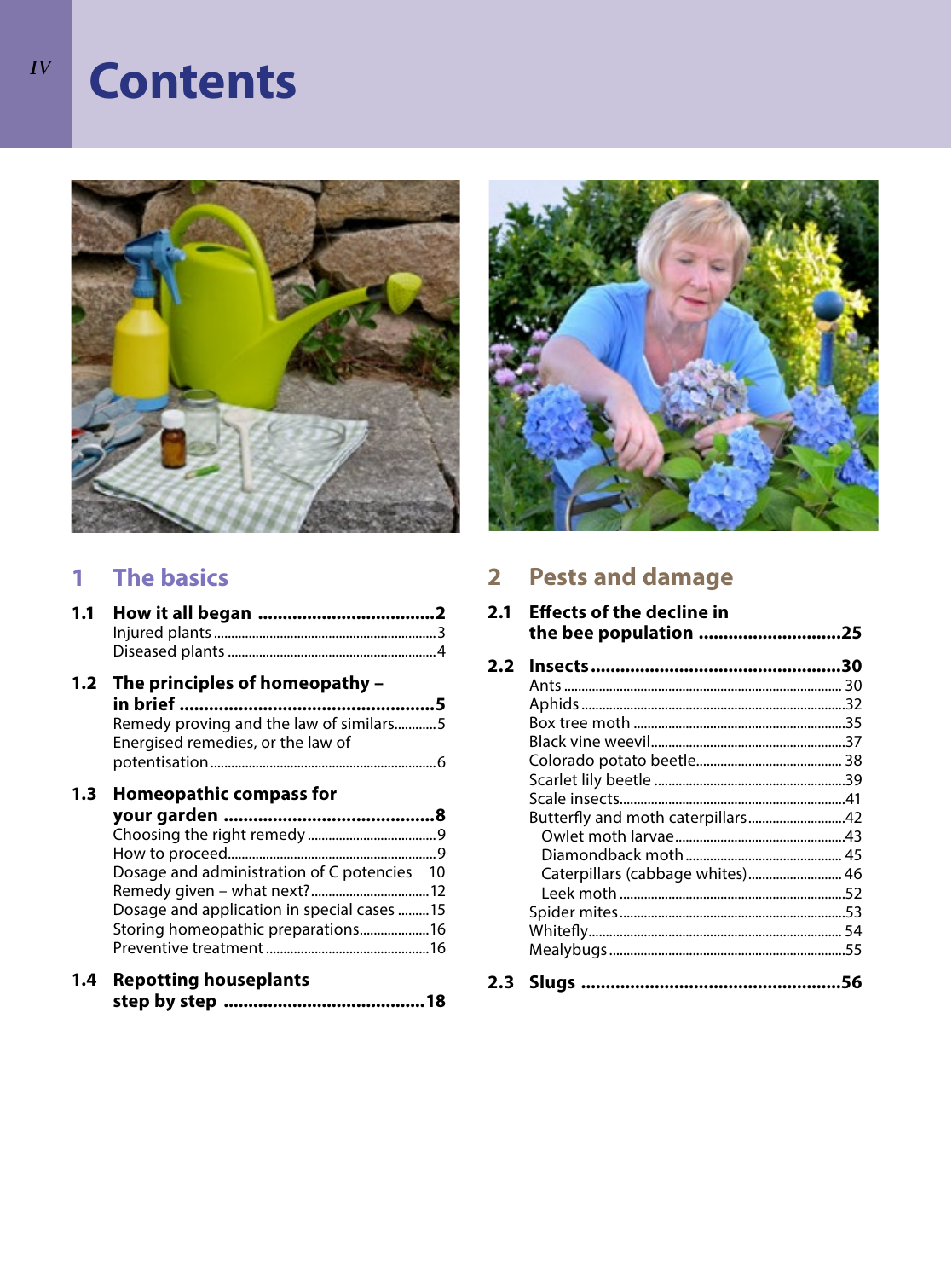# **Contents**



# **1 The basics**

| 1.1 |                                                                                                                                                 |  |
|-----|-------------------------------------------------------------------------------------------------------------------------------------------------|--|
|     |                                                                                                                                                 |  |
| 1.2 | The principles of homeopathy -<br>in brief …………………………………………………5<br>Remedy proving and the law of similars5<br>Energised remedies, or the law of |  |
|     |                                                                                                                                                 |  |
| 1.3 | <b>Homeopathic compass for</b>                                                                                                                  |  |
|     |                                                                                                                                                 |  |
|     |                                                                                                                                                 |  |
|     |                                                                                                                                                 |  |
|     | Dosage and administration of C potencies 10                                                                                                     |  |
|     | Dosage and application in special cases 15                                                                                                      |  |
|     | Storing homeopathic preparations16                                                                                                              |  |
|     |                                                                                                                                                 |  |
| 1.4 | <b>Repotting houseplants</b>                                                                                                                    |  |
|     |                                                                                                                                                 |  |



# **2 Pests and damage**

| 2.1           | <b>Effects of the decline in</b><br>the bee population 25 |  |
|---------------|-----------------------------------------------------------|--|
| $2.2^{\circ}$ |                                                           |  |
|               |                                                           |  |
|               |                                                           |  |
|               |                                                           |  |
|               |                                                           |  |
|               |                                                           |  |
|               |                                                           |  |
|               |                                                           |  |
|               | Butterfly and moth caterpillars42                         |  |
|               |                                                           |  |
|               |                                                           |  |
|               |                                                           |  |
|               |                                                           |  |
|               |                                                           |  |
|               |                                                           |  |
|               |                                                           |  |
|               |                                                           |  |
|               |                                                           |  |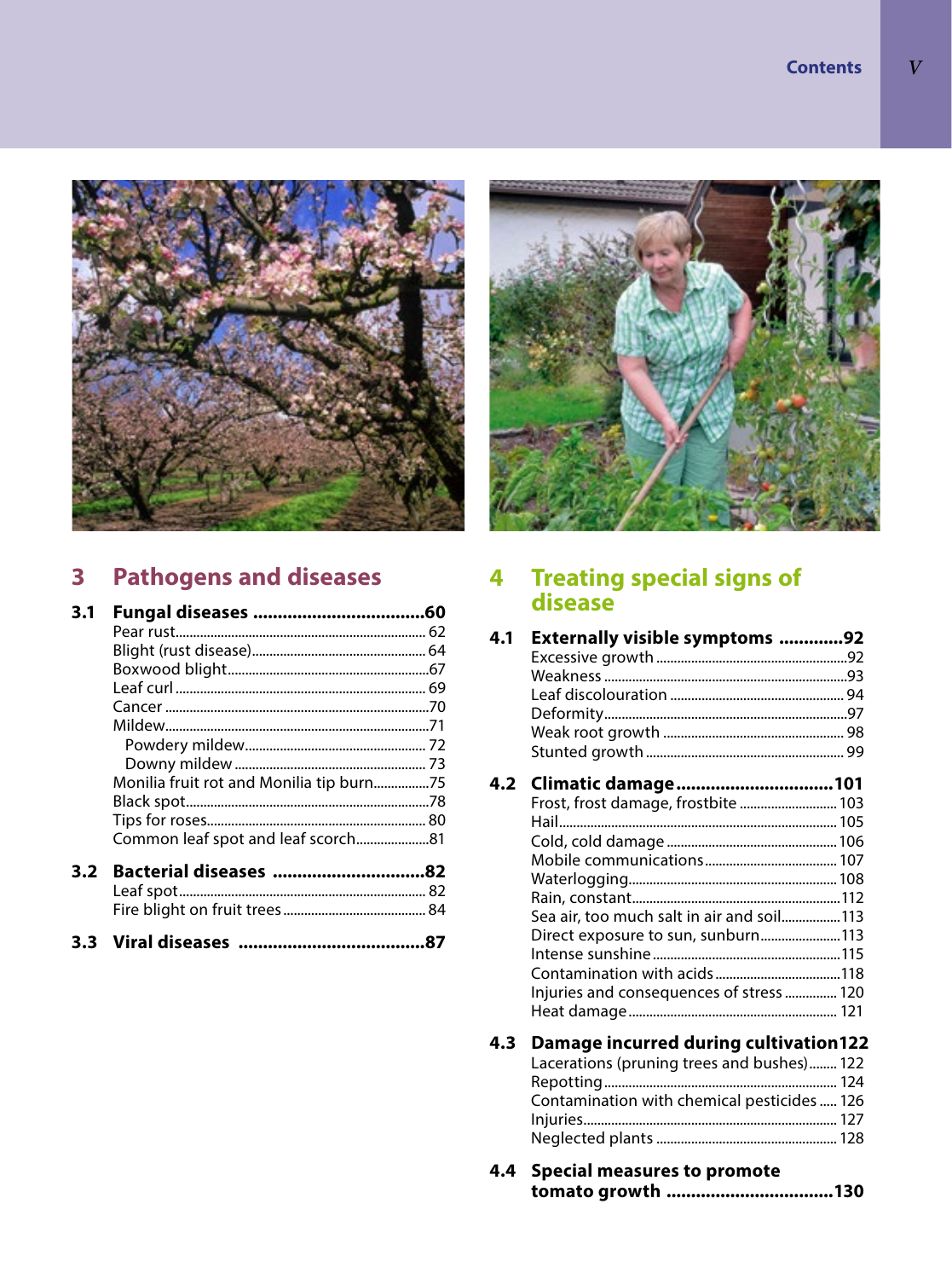

# **3 Pathogens and diseases**

| 3.1 |                                          |  |
|-----|------------------------------------------|--|
|     |                                          |  |
|     |                                          |  |
|     |                                          |  |
|     |                                          |  |
|     |                                          |  |
|     |                                          |  |
|     |                                          |  |
|     |                                          |  |
|     | Monilia fruit rot and Monilia tip burn75 |  |
|     |                                          |  |
|     |                                          |  |
|     |                                          |  |
| 3.2 |                                          |  |
|     |                                          |  |
|     |                                          |  |
|     |                                          |  |



# **4 Treating special signs of disease**

| 4.1 Externally visible symptoms 92 |  |
|------------------------------------|--|
|                                    |  |
|                                    |  |
|                                    |  |
|                                    |  |
|                                    |  |
|                                    |  |
|                                    |  |

| 4.2 Climatic damage101                    |  |
|-------------------------------------------|--|
| Frost, frost damage, frostbite  103       |  |
|                                           |  |
|                                           |  |
|                                           |  |
|                                           |  |
|                                           |  |
| Sea air, too much salt in air and soil113 |  |
| Direct exposure to sun, sunburn113        |  |
|                                           |  |
|                                           |  |
| Injuries and consequences of stress 120   |  |
|                                           |  |
|                                           |  |

# **4.3 Damage incurred during cultivation122**

| Lacerations (pruning trees and bushes) 122 |  |
|--------------------------------------------|--|
|                                            |  |
| Contamination with chemical pesticides 126 |  |
|                                            |  |
|                                            |  |

| 4.4 Special measures to promote |  |
|---------------------------------|--|
|                                 |  |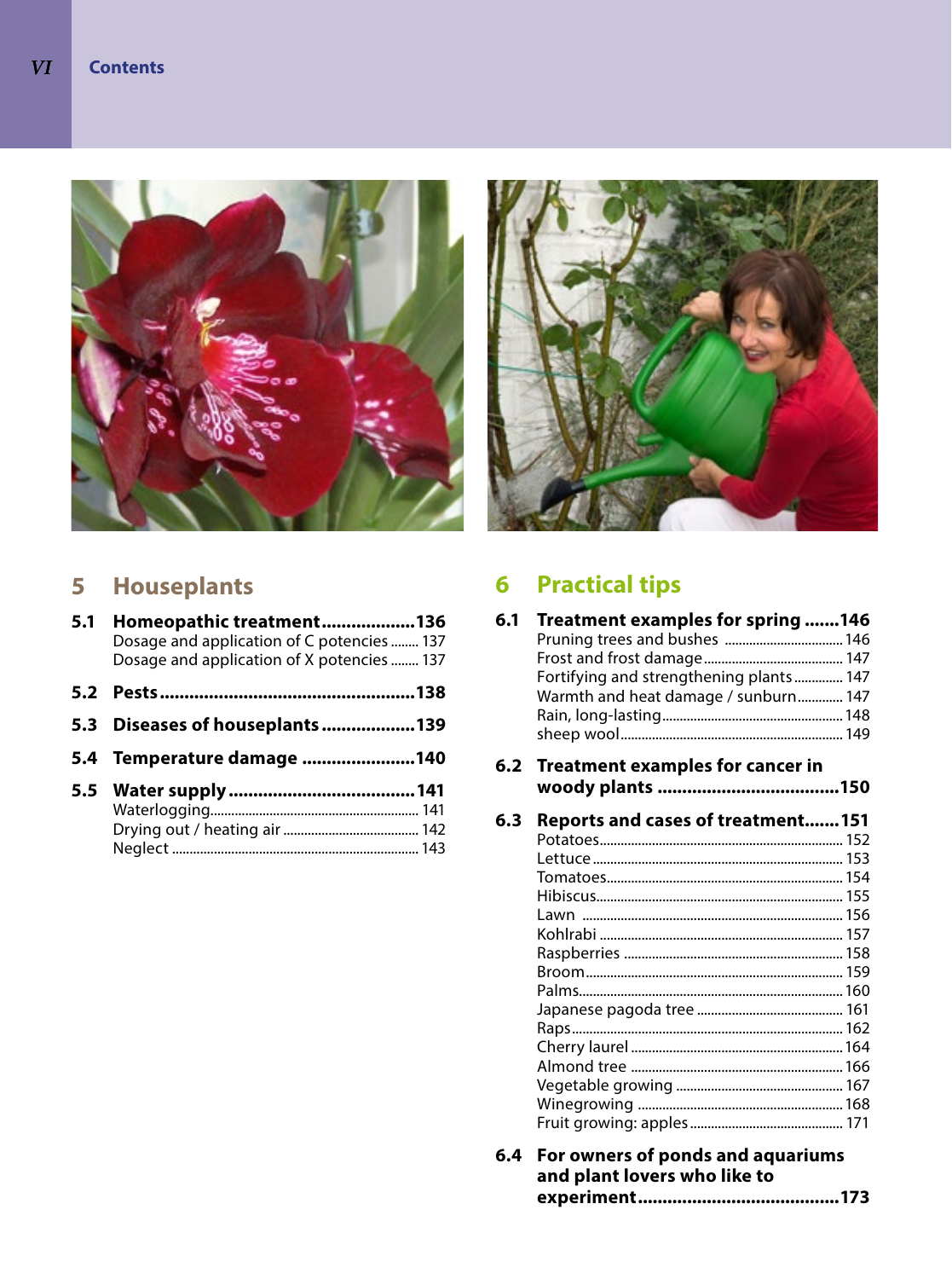

# **5 Houseplants**

| Homeopathic treatment136<br>Dosage and application of C potencies  137<br>Dosage and application of X potencies  137 |                                                                      |
|----------------------------------------------------------------------------------------------------------------------|----------------------------------------------------------------------|
|                                                                                                                      |                                                                      |
|                                                                                                                      |                                                                      |
|                                                                                                                      |                                                                      |
|                                                                                                                      |                                                                      |
|                                                                                                                      | 5.1<br>5.3 Diseases of houseplants 139<br>5.4 Temperature damage 140 |



# **6 Practical tips**

| 6.1 | Treatment examples for spring 146        |  |
|-----|------------------------------------------|--|
|     |                                          |  |
|     | Fortifying and strengthening plants 147  |  |
|     | Warmth and heat damage / sunburn 147     |  |
|     |                                          |  |
|     |                                          |  |
| 6.2 | Treatment examples for cancer in         |  |
|     |                                          |  |
| 6.3 | <b>Reports and cases of treatment151</b> |  |
|     |                                          |  |
|     |                                          |  |
|     |                                          |  |
|     |                                          |  |
|     |                                          |  |
|     |                                          |  |
|     |                                          |  |
|     |                                          |  |
|     |                                          |  |
|     |                                          |  |
|     |                                          |  |
|     |                                          |  |
|     |                                          |  |
|     |                                          |  |
|     |                                          |  |
|     |                                          |  |

**6.4 For owners of ponds and aquariums and plant lovers who like to experiment.........................................173**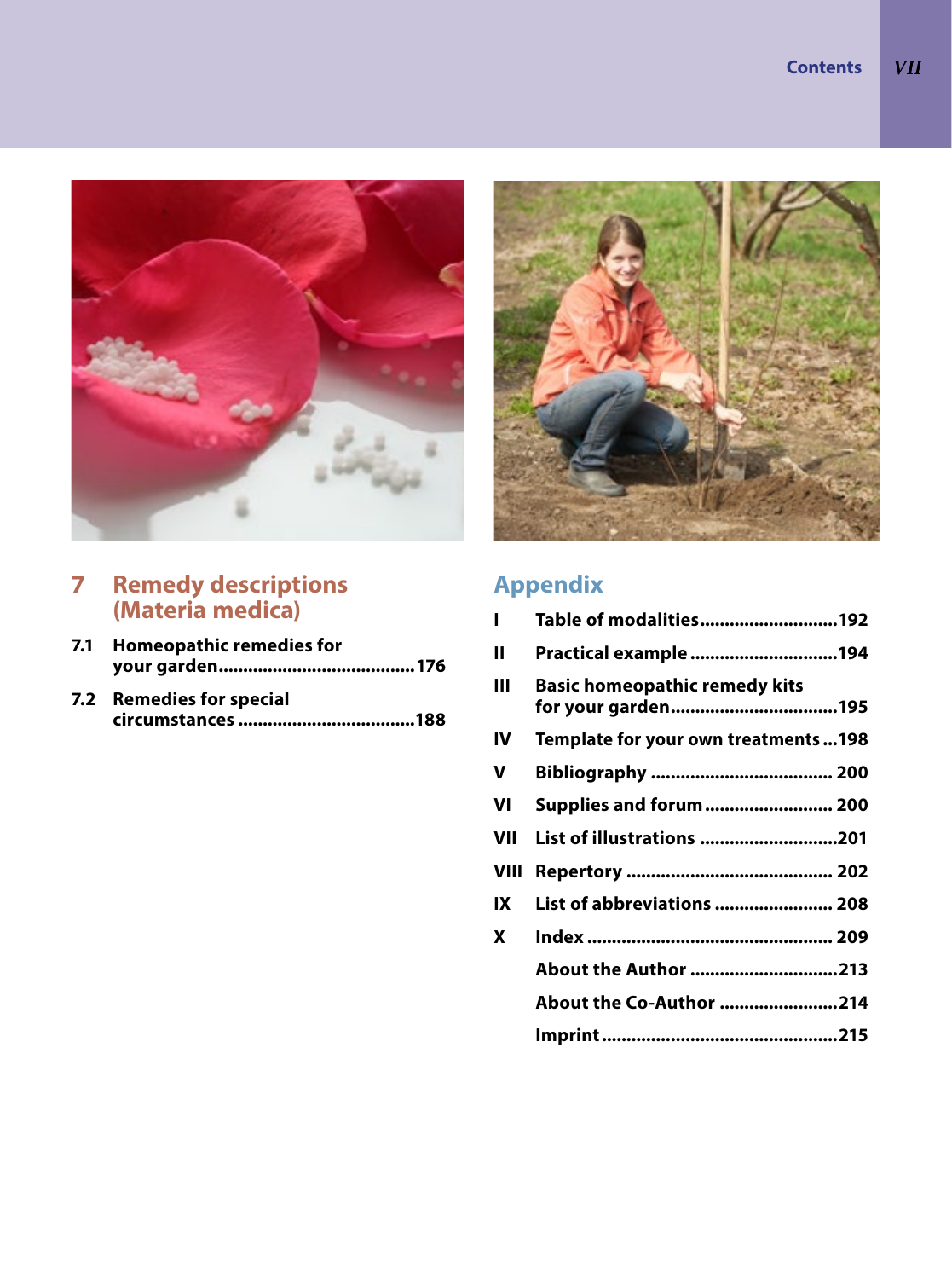

# **7 Remedy descriptions (Materia medica)**

- **7.1 Homeopathic remedies for your garden........................................176**
- **7.2 Remedies for special circumstances ....................................188**



# **Appendix**

| п           | Table of modalities192               |
|-------------|--------------------------------------|
| Ш           | Practical example 194                |
| Ш           | <b>Basic homeopathic remedy kits</b> |
| IV          | Template for your own treatments198  |
| v           |                                      |
| VI          | Supplies and forum 200               |
| VII         | List of illustrations 201            |
| <b>VIII</b> |                                      |
| IX          | List of abbreviations  208           |
| X           |                                      |
|             | About the Author 213                 |
|             | About the Co-Author 214              |
|             |                                      |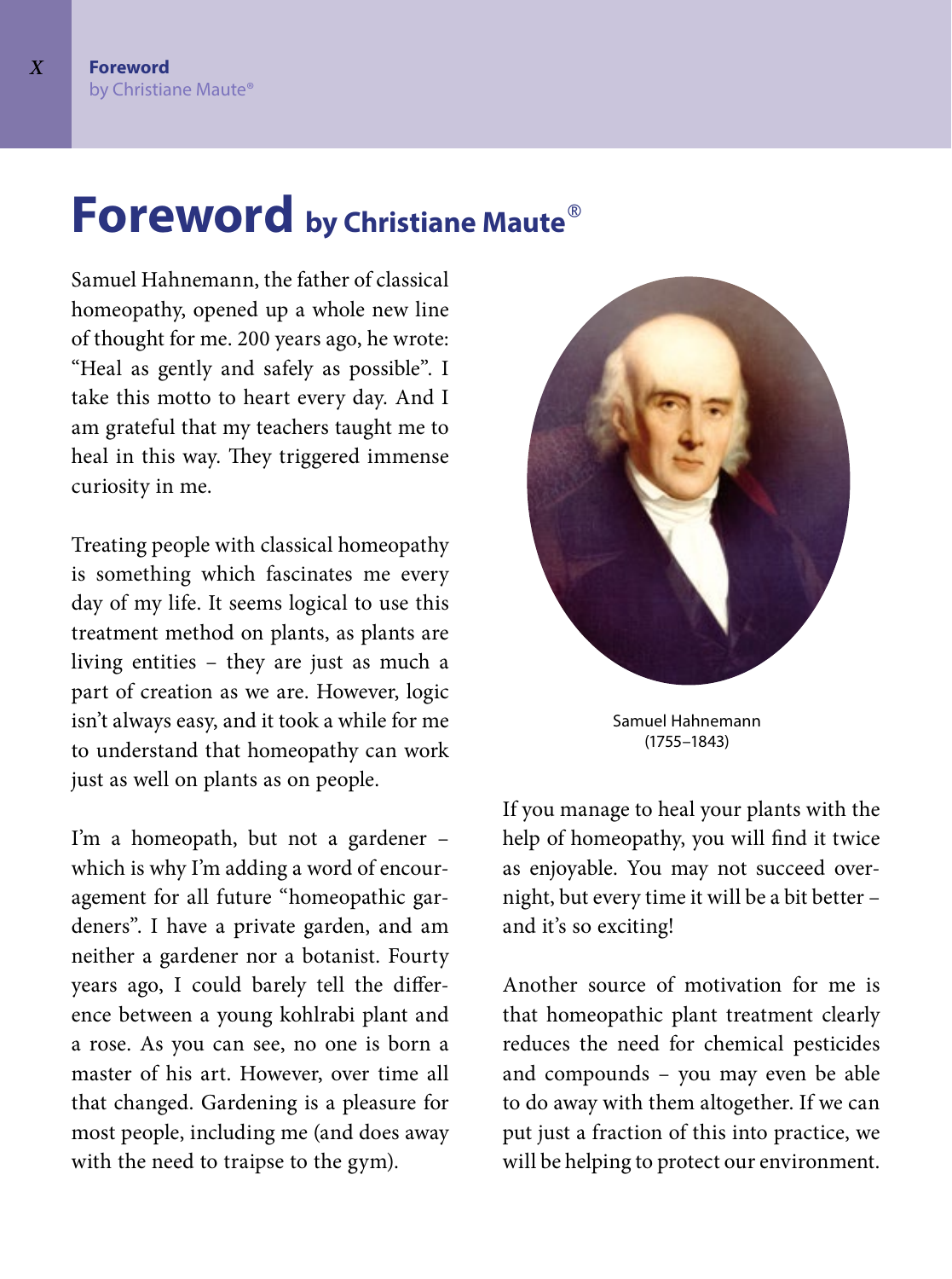# **Foreword by Christiane Maute**®

Samuel Hahnemann, the father of classical homeopathy, opened up a whole new line of thought for me. 200 years ago, he wrote: "Heal as gently and safely as possible". I take this motto to heart every day. And I am grateful that my teachers taught me to heal in this way. They triggered immense curiosity in me.

Treating people with classical homeopathy is something which fascinates me every day of my life. It seems logical to use this treatment method on plants, as plants are living entities - they are just as much a part of creation as we are. However, logic isn't always easy, and it took a while for me to understand that homeopathy can work just as well on plants as on people.

I'm a homeopath, but not a gardener – which is why I'm adding a word of encouragement for all future "homeopathic gardeners". I have a private garden, and am neither a gardener nor a botanist. Fourty years ago, I could barely tell the difference between a young kohlrabi plant and a rose. As you can see, no one is born a master of his art. However, over time all that changed. Gardening is a pleasure for most people, including me (and does away with the need to traipse to the gym).



Samuel Hahnemann (1755–1843)

If you manage to heal your plants with the help of homeopathy, you will find it twice as enjoyable. You may not succeed overnight, but every time it will be a bit better – and it's so exciting!

Another source of motivation for me is that homeopathic plant treatment clearly reduces the need for chemical pesticides and compounds – you may even be able to do away with them altogether. If we can put just a fraction of this into practice, we will be helping to protect our environment.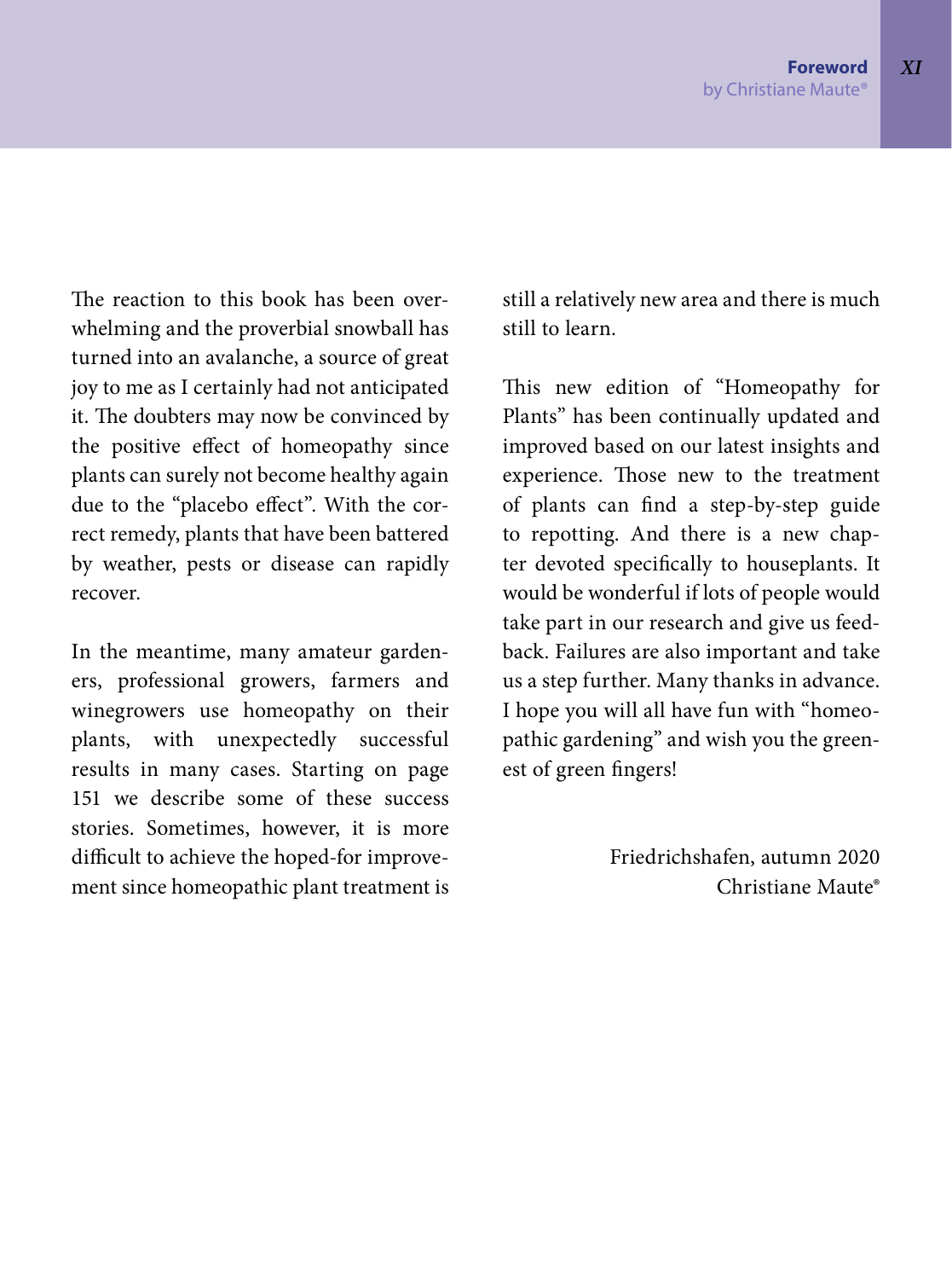The reaction to this book has been overwhelming and the proverbial snowball has turned into an avalanche, a source of great joy to me as I certainly had not anticipated it. The doubters may now be convinced by the positive effect of homeopathy since plants can surely not become healthy again due to the "placebo effect". With the correct remedy, plants that have been battered by weather, pests or disease can rapidly recover.

In the meantime, many amateur gardeners, professional growers, farmers and winegrowers use homeopathy on their plants, with unexpectedly successful results in many cases. Starting on page 151 we describe some of these success stories. Sometimes, however, it is more difficult to achieve the hoped-for improvement since homeopathic plant treatment is

still a relatively new area and there is much still to learn.

This new edition of "Homeopathy for Plants" has been continually updated and improved based on our latest insights and experience. Those new to the treatment of plants can find a step-by-step guide to repotting. And there is a new chapter devoted specifically to houseplants. It would be wonderful if lots of people would take part in our research and give us feedback. Failures are also important and take us a step further. Many thanks in advance. I hope you will all have fun with "homeopathic gardening" and wish you the greenest of green fingers!

> Friedrichshafen, autumn 2020 Christiane Maute®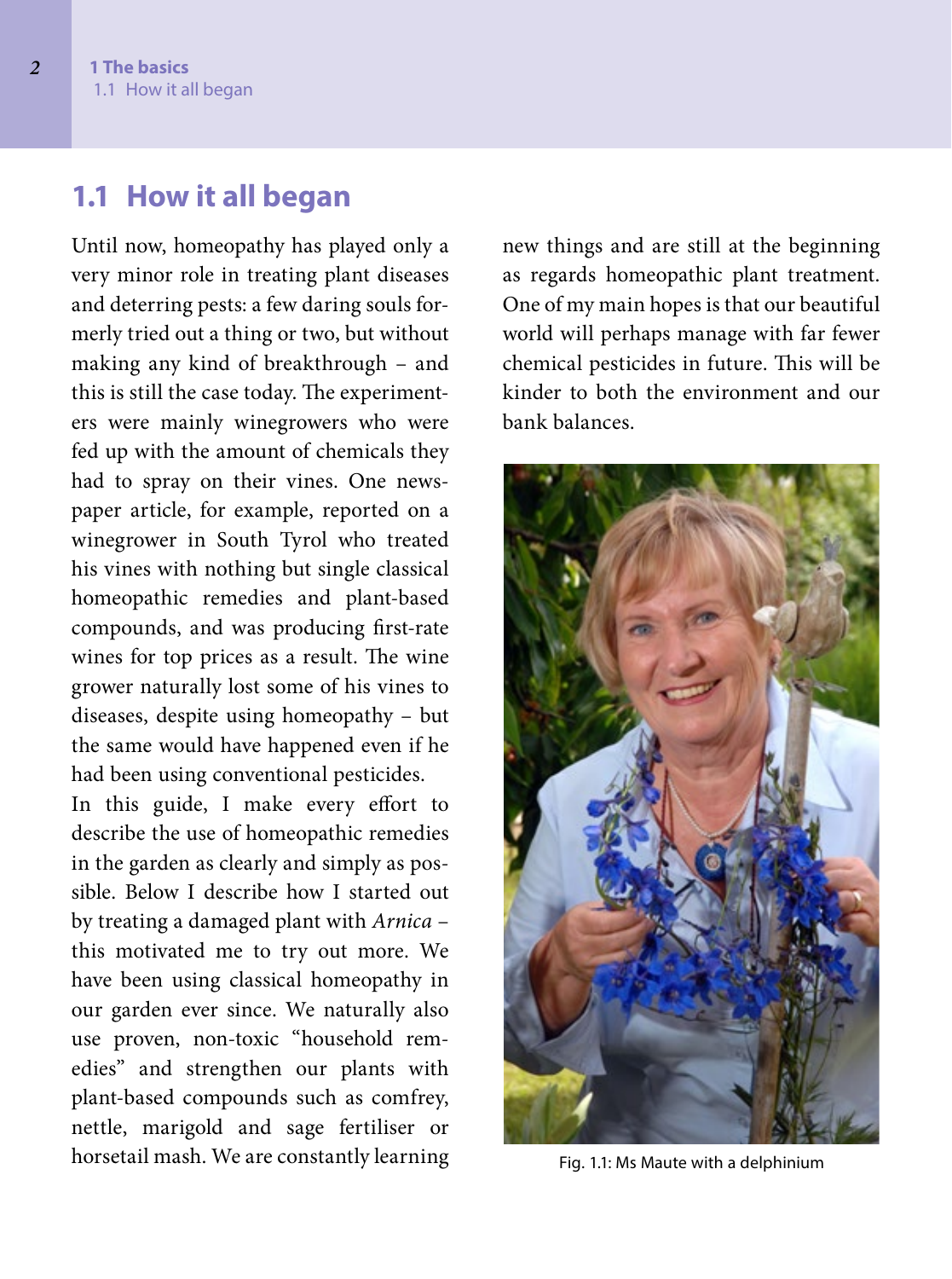# **1.1 How it all began**

Until now, homeopathy has played only a very minor role in treating plant diseases and deterring pests: a few daring souls formerly tried out a thing or two, but without making any kind of breakthrough – and this is still the case today. The experimenters were mainly winegrowers who were fed up with the amount of chemicals they had to spray on their vines. One newspaper article, for example, reported on a winegrower in South Tyrol who treated his vines with nothing but single classical homeopathic remedies and plant-based compounds, and was producing first-rate wines for top prices as a result. The wine grower naturally lost some of his vines to diseases, despite using homeopathy – but the same would have happened even if he had been using conventional pesticides.

In this guide, I make every effort to describe the use of homeopathic remedies in the garden as clearly and simply as possible. Below I describe how I started out by treating a damaged plant with *Arnica* – this motivated me to try out more. We have been using classical homeopathy in our garden ever since. We naturally also use proven, non-toxic "household remedies" and strengthen our plants with plant-based compounds such as comfrey, nettle, marigold and sage fertiliser or horsetail mash. We are constantly learning

new things and are still at the beginning as regards homeopathic plant treatment. One of my main hopes is that our beautiful world will perhaps manage with far fewer chemical pesticides in future. This will be kinder to both the environment and our bank balances.



Fig. 1.1: Ms Maute with a delphinium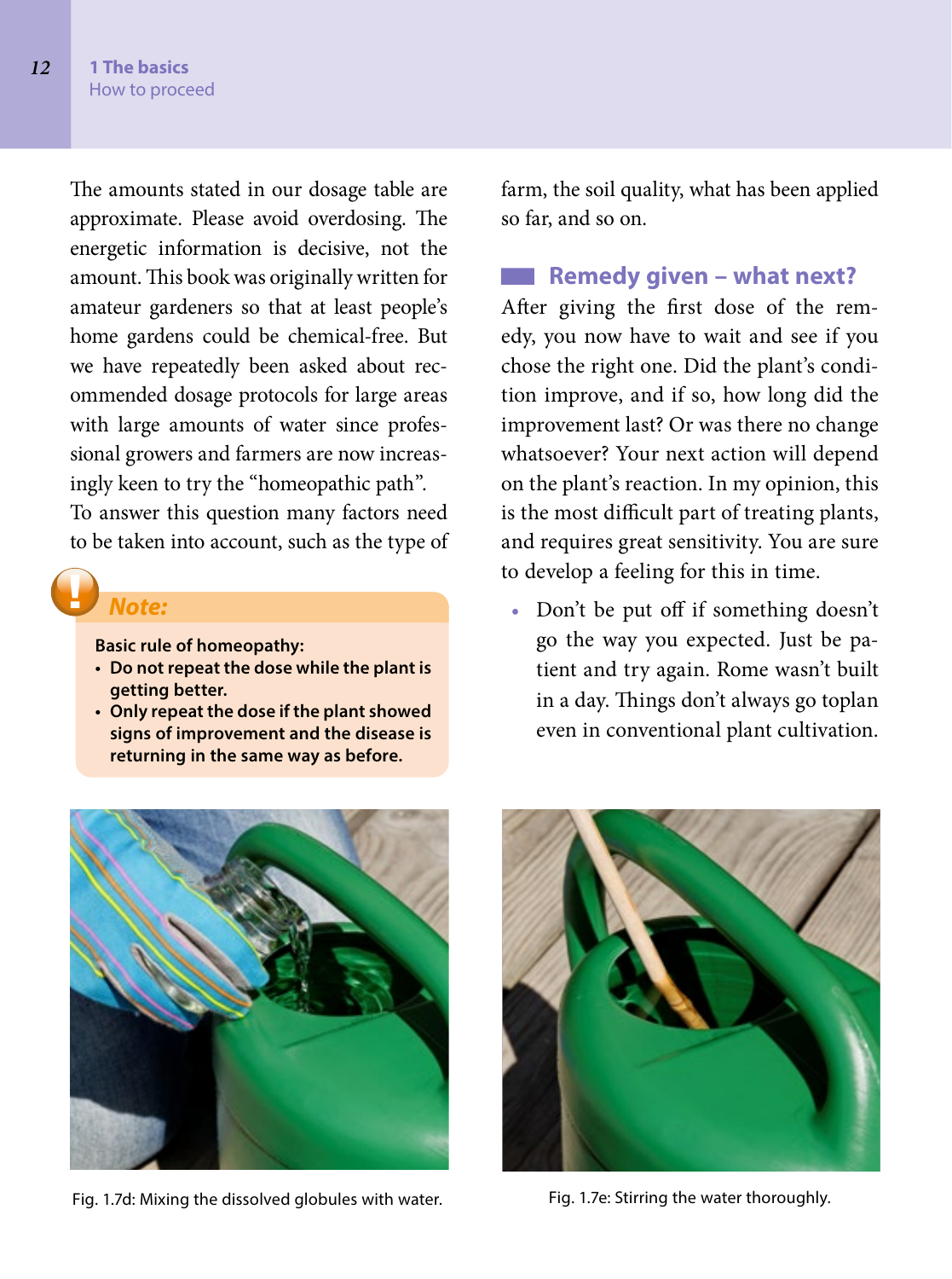The amounts stated in our dosage table are approximate. Please avoid overdosing. The energetic information is decisive, not the amount. This book was originally written for amateur gardeners so that at least people's home gardens could be chemical-free. But we have repeatedly been asked about recommended dosage protocols for large areas with large amounts of water since professional growers and farmers are now increasingly keen to try the "homeopathic path".

To answer this question many factors need to be taken into account, such as the type of

### *Note:*

**Basic rule of homeopathy:**

- **Do not repeat the dose while the plant is getting better.**
- **Only repeat the dose if the plant showed signs of improvement and the disease is returning in the same way as before.**

farm, the soil quality, what has been applied so far, and so on.

## **Remedy given – what next?**

After giving the first dose of the remedy, you now have to wait and see if you chose the right one. Did the plant's condition improve, and if so, how long did the improvement last? Or was there no change whatsoever? Your next action will depend on the plant's reaction. In my opinion, this is the most difficult part of treating plants, and requires great sensitivity. You are sure to develop a feeling for this in time.

• Don't be put off if something doesn't go the way you expected. Just be patient and try again. Rome wasn't built in a day. Things don't always go toplan even in conventional plant cultivation.



Fig. 1.7d: Mixing the dissolved globules with water. Fig. 1.7e: Stirring the water thoroughly.

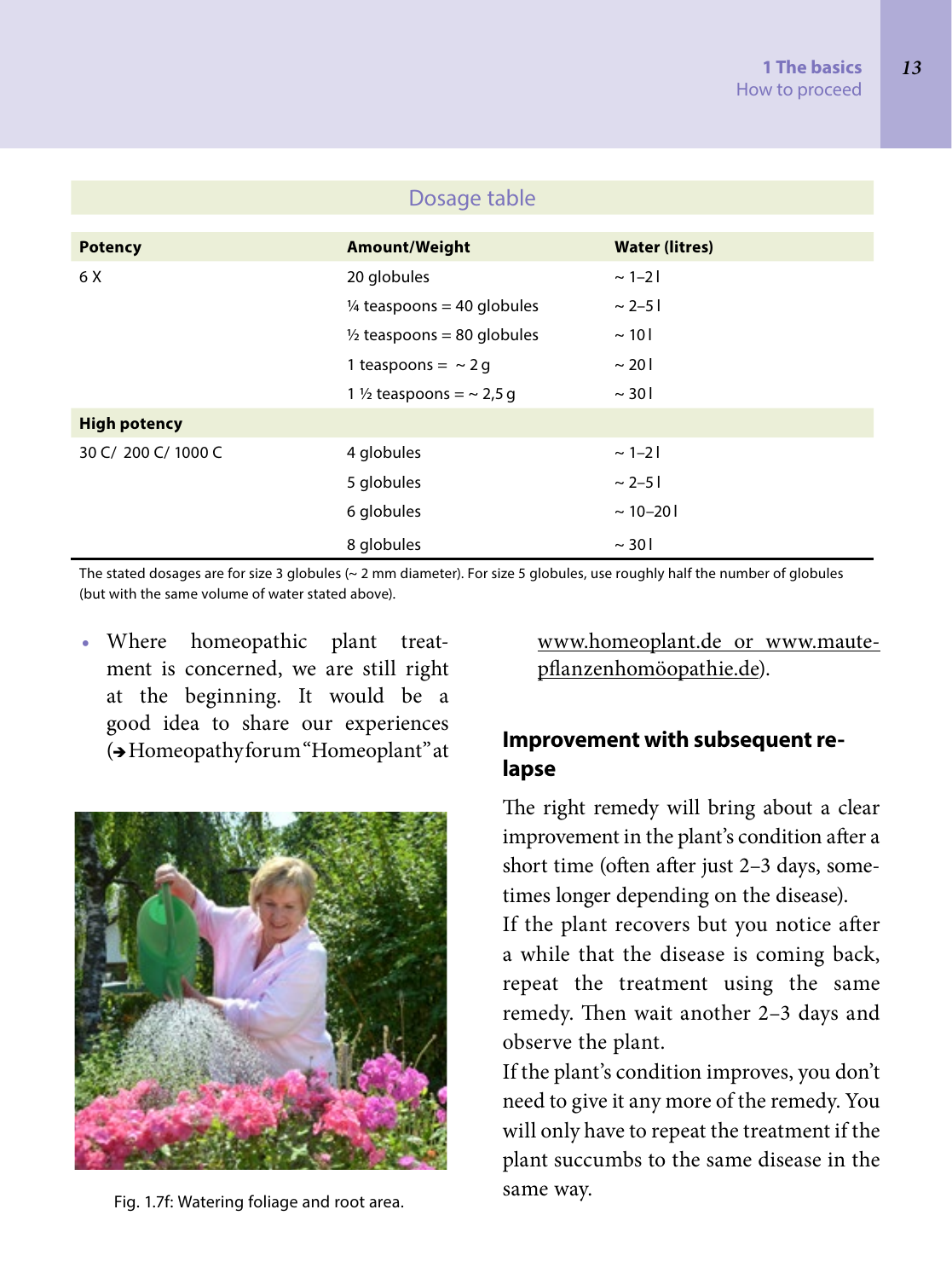| Dosage table        |                                       |                       |  |
|---------------------|---------------------------------------|-----------------------|--|
|                     |                                       |                       |  |
| <b>Potency</b>      | Amount/Weight                         | <b>Water (litres)</b> |  |
| 6 X                 | 20 globules                           | $\sim$ 1-21           |  |
|                     | $\frac{1}{4}$ teaspoons = 40 globules | $\sim$ 2–51           |  |
|                     | $\frac{1}{2}$ teaspoons = 80 globules | $\sim$ 10             |  |
|                     | 1 teaspoons = $\sim$ 2 g              | $\sim$ 201            |  |
|                     | 1 $\frac{1}{2}$ teaspoons = ~ 2,5 q   | $\sim$ 30             |  |
| <b>High potency</b> |                                       |                       |  |
| 30 C/ 200 C/ 1000 C | 4 globules                            | $\sim$ 1-21           |  |
|                     | 5 globules                            | $\sim 2 - 51$         |  |
|                     | 6 globules                            | $\sim$ 10-201         |  |
|                     | 8 globules                            | $\sim$ 30 l           |  |

The stated dosages are for size 3 globules (~ 2 mm diameter). For size 5 globules, use roughly half the number of globules (but with the same volume of water stated above).

• Where homeopathic plant treatment is concerned, we are still right at the beginning. It would be a good idea to share our experiences ( Homeopathy forum "Homeoplant" at



same way. Fig. 1.7f: Watering foliage and root area.

www.homeoplant.de or www.mautepflanzenhomöopathie.de).

# **Improvement with subsequent relapse**

The right remedy will bring about a clear improvement in the plant's condition after a short time (often after just 2–3 days, sometimes longer depending on the disease).

If the plant recovers but you notice after a while that the disease is coming back, repeat the treatment using the same remedy. Then wait another 2–3 days and observe the plant.

If the plant's condition improves, you don't need to give it any more of the remedy. You will only have to repeat the treatment if the plant succumbs to the same disease in the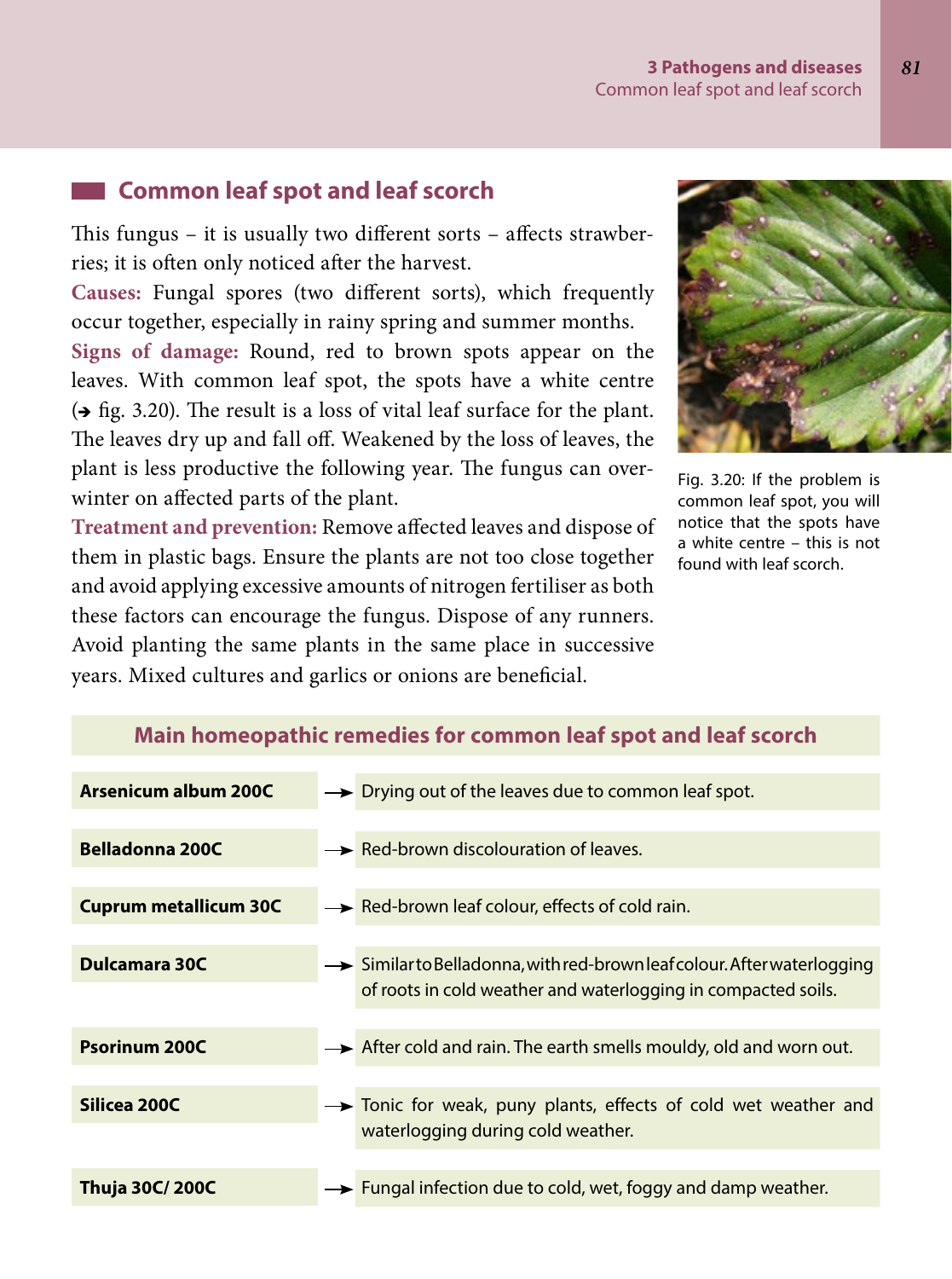#### **3 Pathogens and diseases** *81* Common leaf spot and leaf scorch

# **Common leaf spot and leaf scorch**

This fungus – it is usually two different sorts – affects strawberries; it is often only noticed after the harvest.

**Causes:** Fungal spores (two different sorts), which frequently occur together, especially in rainy spring and summer months.

**Signs of damage:** Round, red to brown spots appear on the leaves. With common leaf spot, the spots have a white centre  $\leftrightarrow$  fig. 3.20). The result is a loss of vital leaf surface for the plant. The leaves dry up and fall off. Weakened by the loss of leaves, the plant is less productive the following year. The fungus can overwinter on affected parts of the plant.

**Treatment and prevention:** Remove affected leaves and dispose of them in plastic bags. Ensure the plants are not too close together and avoid applying excessive amounts of nitrogen fertiliser as both these factors can encourage the fungus. Dispose of any runners. Avoid planting the same plants in the same place in successive years. Mixed cultures and garlics or onions are beneficial.



Fig. 3.20: If the problem is common leaf spot, you will notice that the spots have a white centre – this is not found with leaf scorch.

| Arsenicum album 200C         | $\rightarrow$ Drying out of the leaves due to common leaf spot.                                                                                      |  |
|------------------------------|------------------------------------------------------------------------------------------------------------------------------------------------------|--|
| Belladonna 200C              | $\rightarrow$ Red-brown discolouration of leaves.                                                                                                    |  |
| <b>Cuprum metallicum 30C</b> | $\rightarrow$ Red-brown leaf colour, effects of cold rain.                                                                                           |  |
| Dulcamara 30C                | $\rightarrow$ Similar to Belladonna, with red-brown leaf colour. After waterlogging<br>of roots in cold weather and waterlogging in compacted soils. |  |
| <b>Psorinum 200C</b>         | $\rightarrow$ After cold and rain. The earth smells mouldy, old and worn out.                                                                        |  |
| Silicea 200C                 | Tonic for weak, puny plants, effects of cold wet weather and                                                                                         |  |
|                              | waterlogging during cold weather.                                                                                                                    |  |
| Thuja 30C/ 200C              | $\rightarrow$ Fungal infection due to cold, wet, foggy and damp weather.                                                                             |  |

#### **Main homeopathic remedies for common leaf spot and leaf scorch**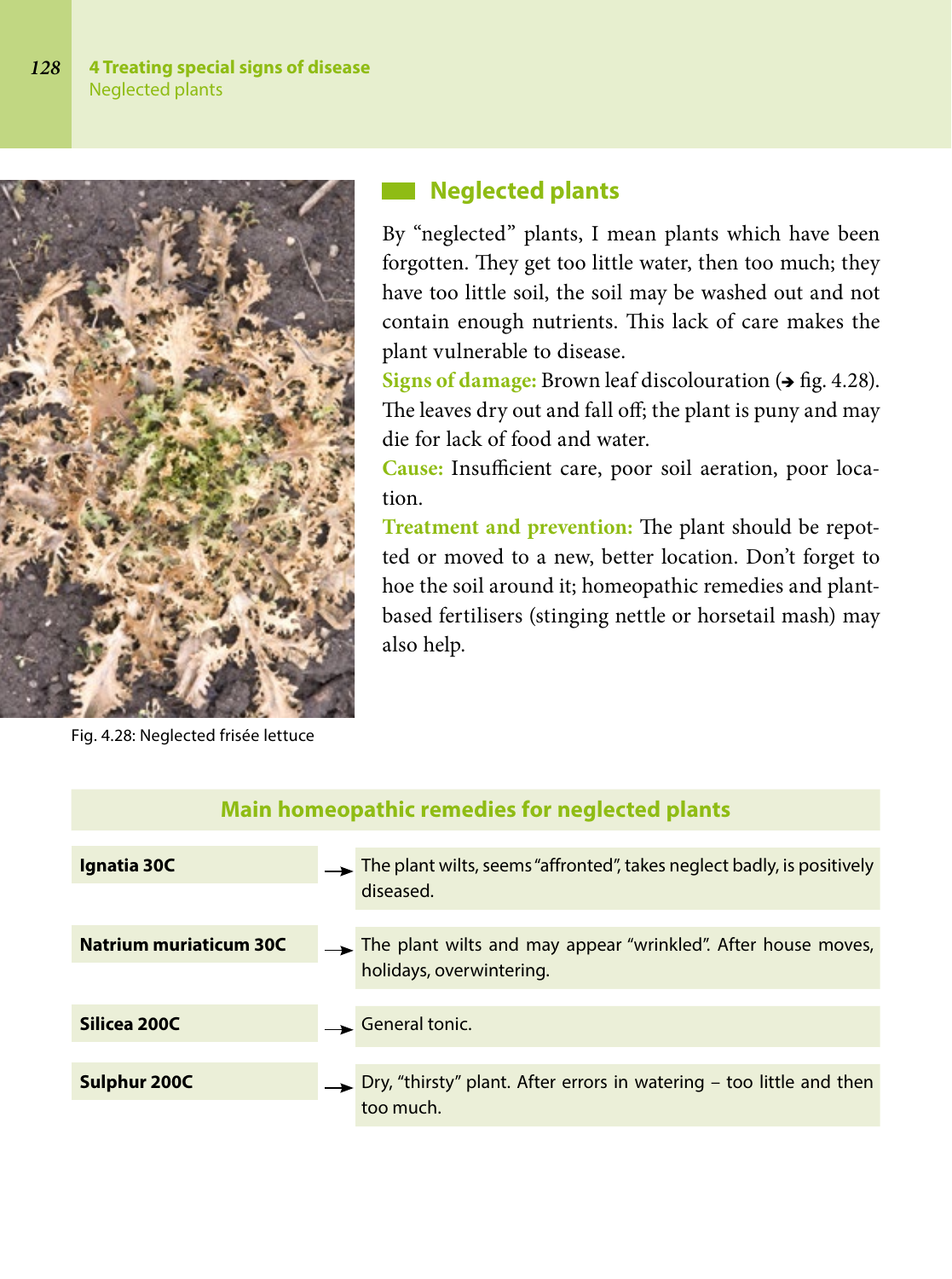

# **Neglected plants**

By "neglected" plants, I mean plants which have been forgotten. They get too little water, then too much; they have too little soil, the soil may be washed out and not contain enough nutrients. This lack of care makes the plant vulnerable to disease.

**Signs of damage:** Brown leaf discolouration ( $\rightarrow$  fig. 4.28). The leaves dry out and fall off; the plant is puny and may die for lack of food and water.

**Cause:** Insufficient care, poor soil aeration, poor location.

**Treatment and prevention:** The plant should be repotted or moved to a new, better location. Don't forget to hoe the soil around it; homeopathic remedies and plantbased fertilisers (stinging nettle or horsetail mash) may also help.

Fig. 4.28: Neglected frisée lettuce

| <b>Main homeopathic remedies for neglected plants</b> |  |                                                                                                 |
|-------------------------------------------------------|--|-------------------------------------------------------------------------------------------------|
| Ignatia 30C                                           |  | The plant wilts, seems "affronted", takes neglect badly, is positively<br>diseased.             |
| <b>Natrium muriaticum 30C</b>                         |  | The plant wilts and may appear "wrinkled". After house moves,<br>holidays, overwintering.       |
| Silicea 200C                                          |  | General tonic.                                                                                  |
| Sulphur 200C                                          |  | $\rightarrow$ Dry, "thirsty" plant. After errors in watering – too little and then<br>too much. |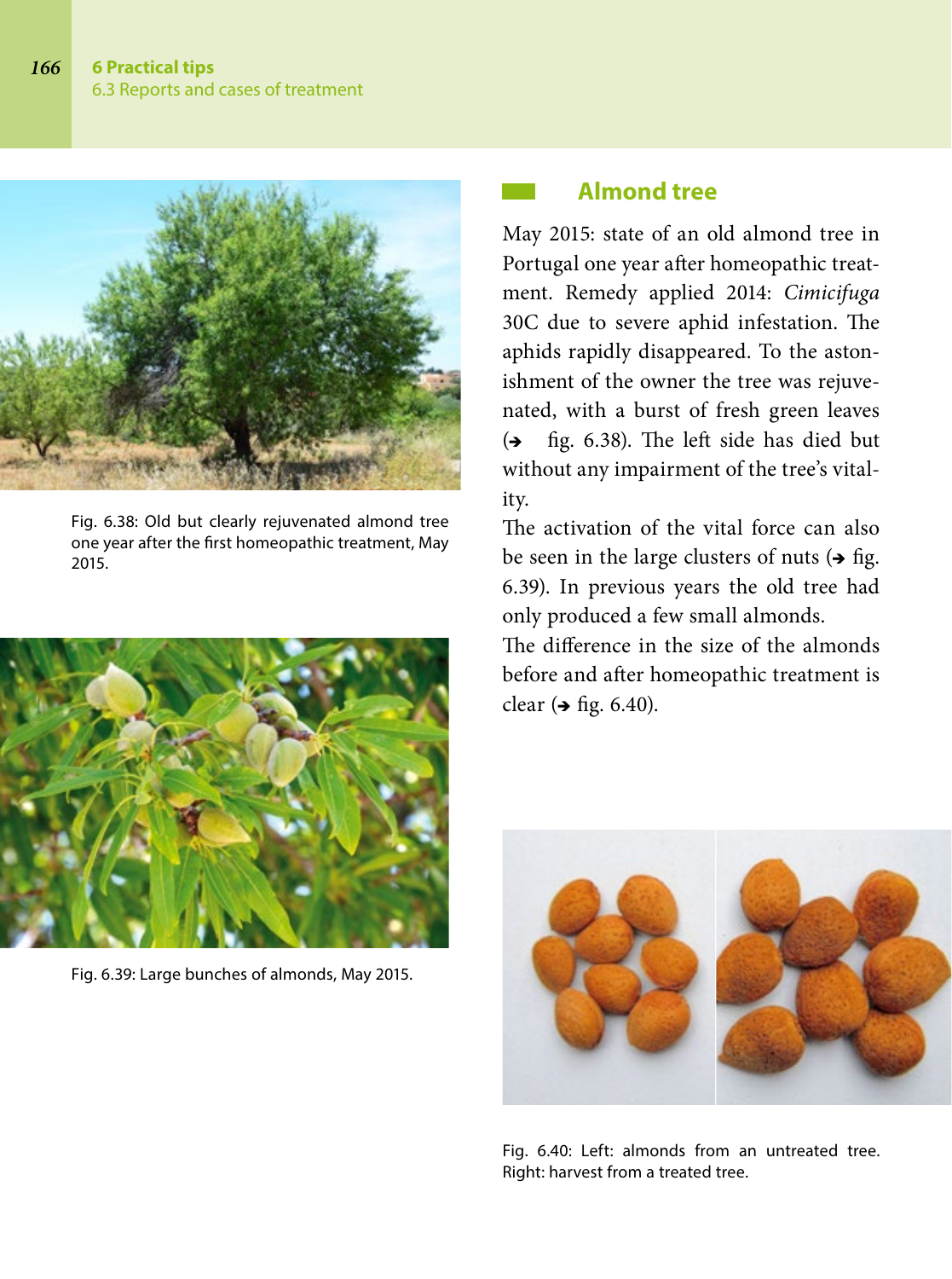

Fig. 6.38: Old but clearly rejuvenated almond tree one year after the first homeopathic treatment, May 2015.



Fig. 6.39: Large bunches of almonds, May 2015.

# **Almond tree**

May 2015: state of an old almond tree in Portugal one year after homeopathic treatment. Remedy applied 2014: *Cimicifuga* 30C due to severe aphid infestation. The aphids rapidly disappeared. To the astonishment of the owner the tree was rejuvenated, with a burst of fresh green leaves  $\leftrightarrow$  fig. 6.38). The left side has died but without any impairment of the tree's vitality.

The activation of the vital force can also be seen in the large clusters of nuts  $\leftrightarrow$  fig. 6.39). In previous years the old tree had only produced a few small almonds.

The difference in the size of the almonds before and after homeopathic treatment is clear  $(\rightarrow$  fig. 6.40).



Fig. 6.40: Left: almonds from an untreated tree. Right: harvest from a treated tree.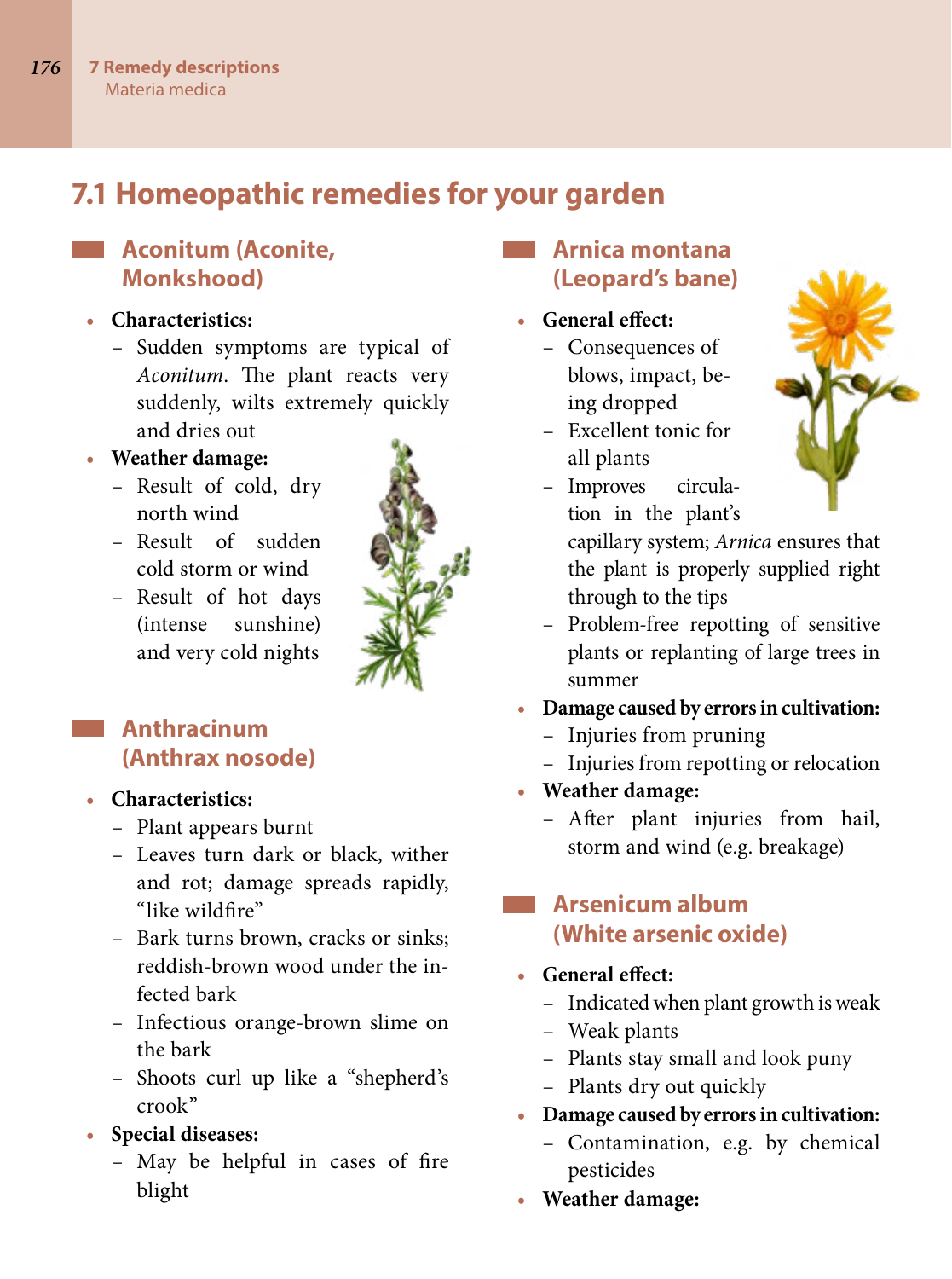# **7.1 Homeopathic remedies for your garden**

# **Aconitum (Aconite, Monkshood)**

### **• Characteristics:**

– Sudden symptoms are typical of *Aconitum*. The plant reacts very suddenly, wilts extremely quickly and dries out

# **• Weather damage:**

- Result of cold, dry north wind
- Result of sudden cold storm or wind
- Result of hot days (intense sunshine) and very cold nights

# **Anthracinum (Anthrax nosode)**

### **• Characteristics:**

- Plant appears burnt
- Leaves turn dark or black, wither and rot; damage spreads rapidly, "like wildfire"
- Bark turns brown, cracks or sinks; reddish-brown wood under the infected bark
- Infectious orange-brown slime on the bark
- Shoots curl up like a "shepherd's crook"
- **• Special diseases:**
	- May be helpful in cases of fire blight

# **Arnica montana (Leopard's bane)**

- **• General effect:**
	- Consequences of blows, impact, being dropped
	- Excellent tonic for all plants
	- Improves circulation in the plant's



- capillary system; *Arnica* ensures that the plant is properly supplied right through to the tips
- Problem-free repotting of sensitive plants or replanting of large trees in summer
- **• Damage caused by errors in cultivation:**
	- Injuries from pruning
	- Injuries from repotting or relocation
- **• Weather damage:**
	- After plant injuries from hail, storm and wind (e.g. breakage)

# **Arsenicum album (White arsenic oxide)**

- **• General effect:**
	- Indicated when plant growth is weak
	- Weak plants
	- Plants stay small and look puny
	- Plants dry out quickly
- **• Damage caused by errors in cultivation:**
	- Contamination, e.g. by chemical pesticides
- **• Weather damage:**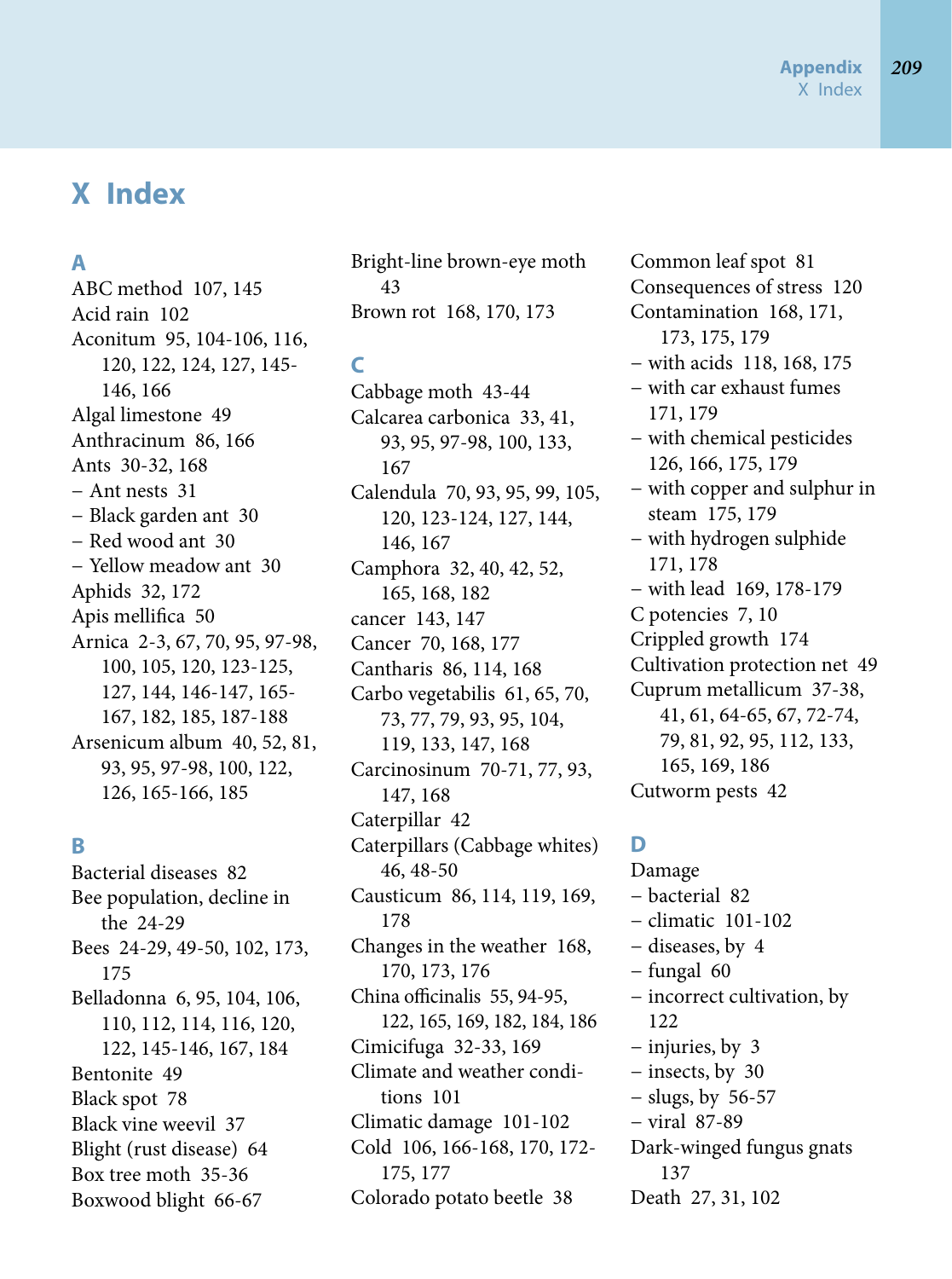# **X Index**

### **A**

ABC method 107, 145 Acid rain 102 Aconitum 95, 104-106, 116, 120, 122, 124, 127, 145- 146, 166 Algal limestone 49 Anthracinum 86, 166 Ants 30-32, 168 − Ant nests 31 − Black garden ant 30 − Red wood ant 30 − Yellow meadow ant 30 Aphids 32, 172 Apis mellifica 50 Arnica 2-3, 67, 70, 95, 97-98, 100, 105, 120, 123-125, 127, 144, 146-147, 165- 167, 182, 185, 187-188 Arsenicum album 40, 52, 81, 93, 95, 97-98, 100, 122, 126, 165-166, 185

### **B**

Bacterial diseases 82 Bee population, decline in the 24-29 Bees 24-29, 49-50, 102, 173, 175 Belladonna 6, 95, 104, 106, 110, 112, 114, 116, 120, 122, 145-146, 167, 184 Bentonite 49 Black spot 78 Black vine weevil 37 Blight (rust disease) 64 Box tree moth 35-36 Boxwood blight 66-67

Bright-line brown-eye moth 43 Brown rot 168, 170, 173

# **C**

Cabbage moth 43-44 Calcarea carbonica 33, 41, 93, 95, 97-98, 100, 133, 167 Calendula 70, 93, 95, 99, 105, 120, 123-124, 127, 144, 146, 167 Camphora 32, 40, 42, 52, 165, 168, 182 cancer 143, 147 Cancer 70, 168, 177 Cantharis 86, 114, 168 Carbo vegetabilis 61, 65, 70, 73, 77, 79, 93, 95, 104, 119, 133, 147, 168 Carcinosinum 70-71, 77, 93, 147, 168 Caterpillar 42 Caterpillars (Cabbage whites) 46, 48-50 Causticum 86, 114, 119, 169, 178 Changes in the weather 168, 170, 173, 176 China officinalis 55, 94-95, 122, 165, 169, 182, 184, 186 Cimicifuga 32-33, 169 Climate and weather conditions 101 Climatic damage 101-102 Cold 106, 166-168, 170, 172- 175, 177 Colorado potato beetle 38

Common leaf spot 81 Consequences of stress 120 Contamination 168, 171, 173, 175, 179 − with acids 118, 168, 175 − with car exhaust fumes 171, 179 − with chemical pesticides 126, 166, 175, 179 − with copper and sulphur in steam 175, 179 − with hydrogen sulphide 171, 178 − with lead 169, 178-179 C potencies 7, 10 Crippled growth 174 Cultivation protection net 49 Cuprum metallicum 37-38, 41, 61, 64-65, 67, 72-74, 79, 81, 92, 95, 112, 133, 165, 169, 186 Cutworm pests 42

### **D**

Damage − bacterial 82 − climatic 101-102 − diseases, by 4 − fungal 60 − incorrect cultivation, by 122 − injuries, by 3 − insects, by 30 − slugs, by 56-57 − viral 87-89 Dark-winged fungus gnats 137 Death 27, 31, 102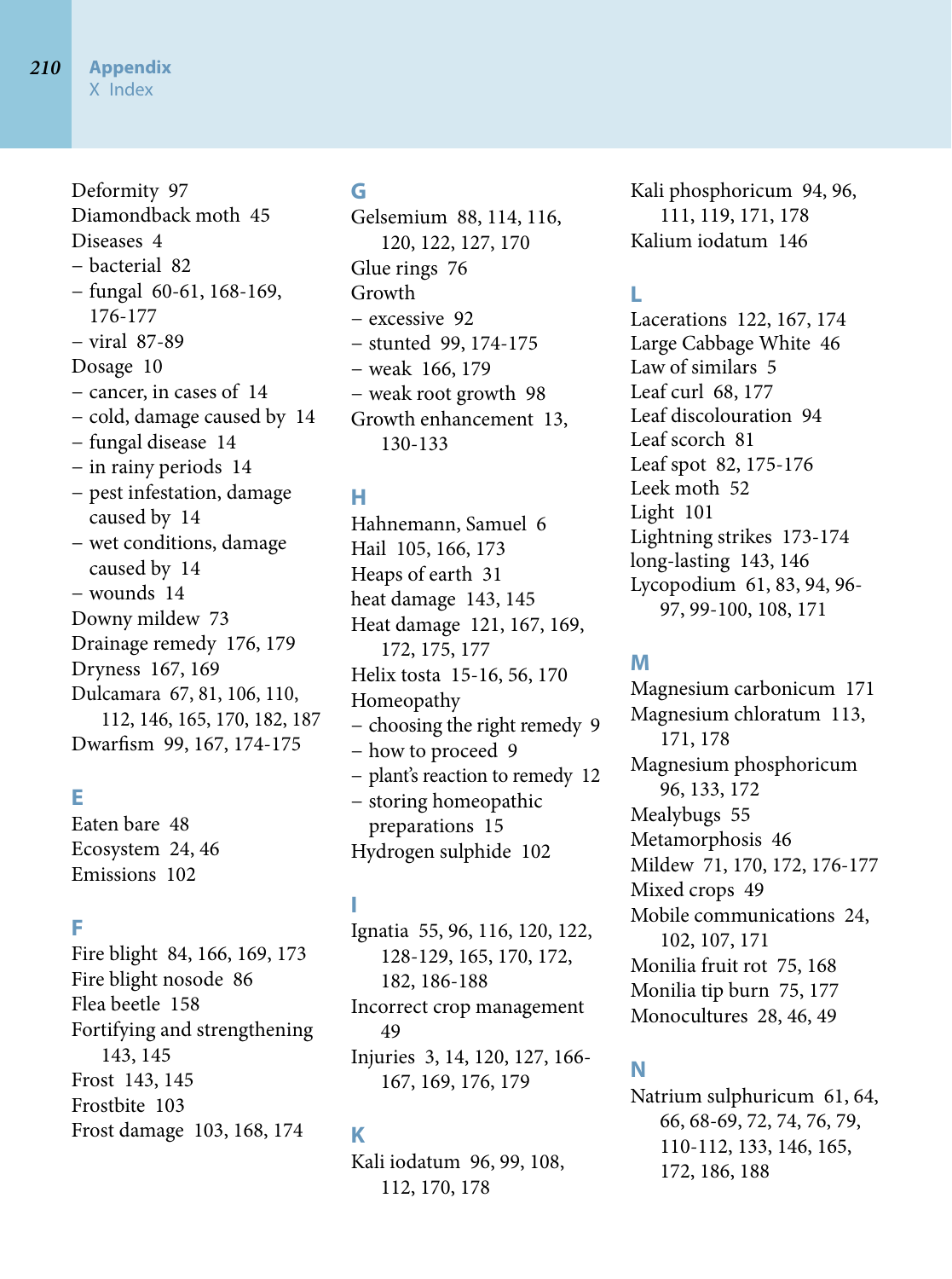Deformity 97 Diamondback moth 45 Diseases 4 − bacterial 82 − fungal 60-61, 168-169, 176-177 − viral 87-89 Dosage 10 − cancer, in cases of 14 − cold, damage caused by 14 − fungal disease 14 − in rainy periods 14 − pest infestation, damage caused by 14 − wet conditions, damage caused by 14 − wounds 14 Downy mildew 73 Drainage remedy 176, 179 Dryness 167, 169 Dulcamara 67, 81, 106, 110, 112, 146, 165, 170, 182, 187 Dwarfism 99, 167, 174-175

### **E**

Eaten bare 48 Ecosystem 24, 46 Emissions 102

#### **F**

Fire blight 84, 166, 169, 173 Fire blight nosode 86 Flea beetle 158 Fortifying and strengthening 143, 145 Frost 143, 145 Frostbite 103 Frost damage 103, 168, 174

### **G**

Gelsemium 88, 114, 116, 120, 122, 127, 170 Glue rings 76 Growth − excessive 92 − stunted 99, 174-175 − weak 166, 179 − weak root growth 98 Growth enhancement 13, 130-133

### **H**

Hahnemann, Samuel 6 Hail 105, 166, 173 Heaps of earth 31 heat damage 143, 145 Heat damage 121, 167, 169, 172, 175, 177 Helix tosta 15-16, 56, 170 Homeopathy − choosing the right remedy 9 − how to proceed 9 − plant's reaction to remedy 12 − storing homeopathic preparations 15 Hydrogen sulphide 102

## **I**

Ignatia 55, 96, 116, 120, 122, 128-129, 165, 170, 172, 182, 186-188 Incorrect crop management 49 Injuries 3, 14, 120, 127, 166- 167, 169, 176, 179

### **K**

Kali iodatum 96, 99, 108, 112, 170, 178

Kali phosphoricum 94, 96, 111, 119, 171, 178 Kalium iodatum 146

# **L**

Lacerations 122, 167, 174 Large Cabbage White 46 Law of similars 5 Leaf curl 68, 177 Leaf discolouration 94 Leaf scorch 81 Leaf spot 82, 175-176 Leek moth 52 Light 101 Lightning strikes 173-174 long-lasting 143, 146 Lycopodium 61, 83, 94, 96- 97, 99-100, 108, 171

### **M**

Magnesium carbonicum 171 Magnesium chloratum 113, 171, 178 Magnesium phosphoricum 96, 133, 172 Mealybugs 55 Metamorphosis 46 Mildew 71, 170, 172, 176-177 Mixed crops 49 Mobile communications 24, 102, 107, 171 Monilia fruit rot 75, 168 Monilia tip burn 75, 177 Monocultures 28, 46, 49

### **N**

Natrium sulphuricum 61, 64, 66, 68-69, 72, 74, 76, 79, 110-112, 133, 146, 165, 172, 186, 188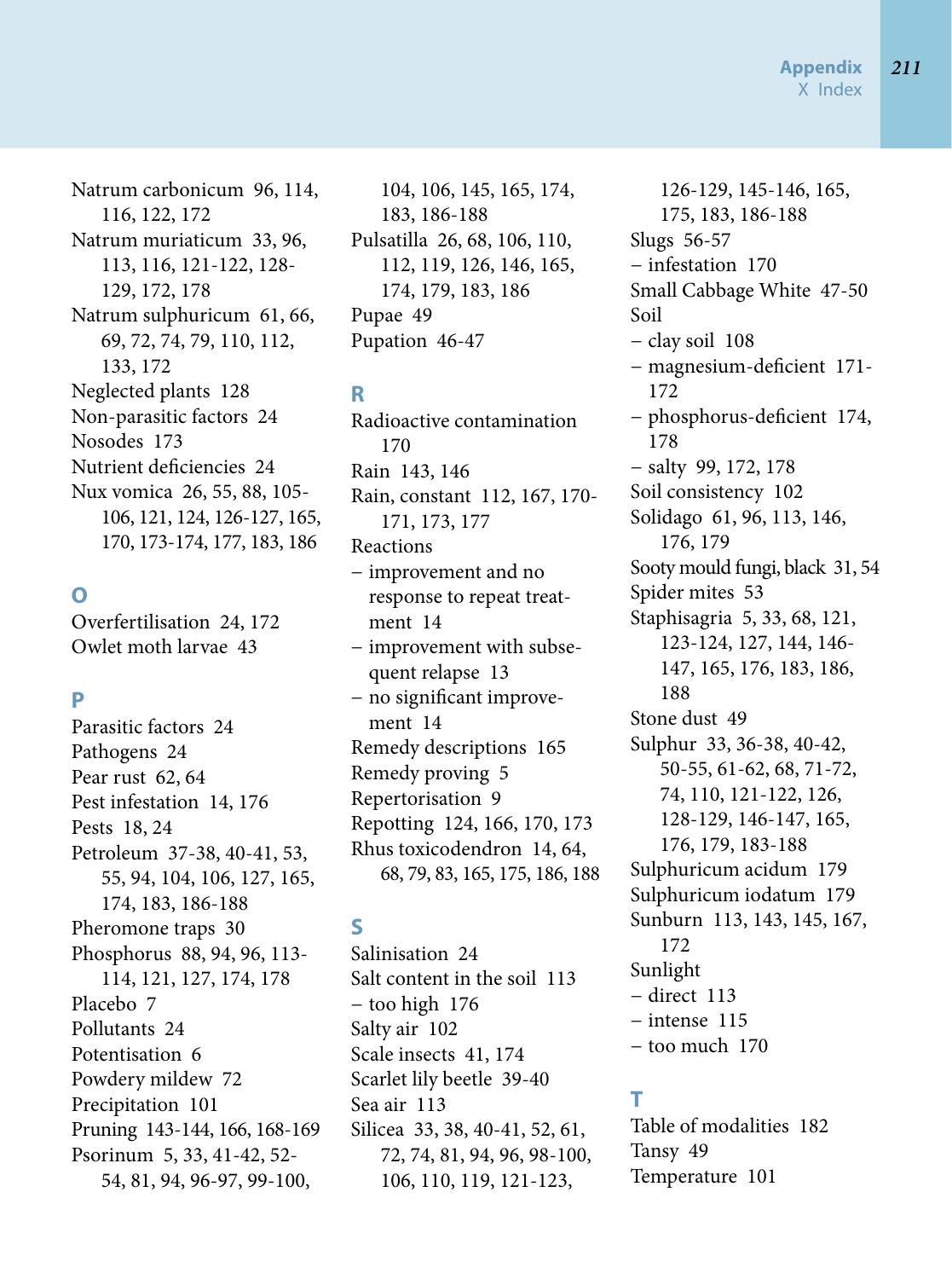Natrum carbonicum 96, 114, 116, 122, 172 Natrum muriaticum 33, 96, 113, 116, 121-122, 128- 129, 172, 178 Natrum sulphuricum 61, 66, 69, 72, 74, 79, 110, 112, 133, 172 Neglected plants 128 Non-parasitic factors 24 Nosodes 173 Nutrient deficiencies 24 Nux vomica 26, 55, 88, 105- 106, 121, 124, 126-127, 165, 170, 173-174, 177, 183, 186

### **O**

Overfertilisation 24, 172 Owlet moth larvae 43

### **P**

Parasitic factors 24 Pathogens 24 Pear rust 62, 64 Pest infestation 14, 176 Pests 18, 24 Petroleum 37-38, 40-41, 53, 55, 94, 104, 106, 127, 165, 174, 183, 186-188 Pheromone traps 30 Phosphorus 88, 94, 96, 113- 114, 121, 127, 174, 178 Placebo 7 Pollutants 24 Potentisation 6 Powdery mildew 72 Precipitation 101 Pruning 143-144, 166, 168-169 Psorinum 5, 33, 41-42, 52- 54, 81, 94, 96-97, 99-100,

104, 106, 145, 165, 174, 183, 186-188 Pulsatilla 26, 68, 106, 110, 112, 119, 126, 146, 165, 174, 179, 183, 186 Pupae 49 Pupation 46-47

### **R**

Radioactive contamination 170 Rain 143, 146 Rain, constant 112, 167, 170- 171, 173, 177 Reactions − improvement and no response to repeat treatment 14 − improvement with subsequent relapse 13 − no significant improvement 14 Remedy descriptions 165 Remedy proving 5 Repertorisation 9 Repotting 124, 166, 170, 173 Rhus toxicodendron 14, 64, 68, 79, 83, 165, 175, 186, 188

### **S**

Salinisation 24 Salt content in the soil 113 − too high 176 Salty air 102 Scale insects 41, 174 Scarlet lily beetle 39-40 Sea air 113 Silicea 33, 38, 40-41, 52, 61, 72, 74, 81, 94, 96, 98-100, 106, 110, 119, 121-123,

126-129, 145-146, 165, 175, 183, 186-188 Slugs 56-57 − infestation 170 Small Cabbage White 47-50 Soil − clay soil 108 − magnesium-deficient 171- 172 − phosphorus-deficient 174, 178 − salty 99, 172, 178 Soil consistency 102 Solidago 61, 96, 113, 146, 176, 179 Sooty mould fungi, black 31, 54 Spider mites 53 Staphisagria 5, 33, 68, 121, 123-124, 127, 144, 146- 147, 165, 176, 183, 186, 188 Stone dust 49 Sulphur 33, 36-38, 40-42, 50-55, 61-62, 68, 71-72, 74, 110, 121-122, 126, 128-129, 146-147, 165, 176, 179, 183-188 Sulphuricum acidum 179 Sulphuricum iodatum 179 Sunburn 113, 143, 145, 167, 172 Sunlight − direct 113 − intense 115 − too much 170

### **T**

Table of modalities 182 Tansy 49 Temperature 101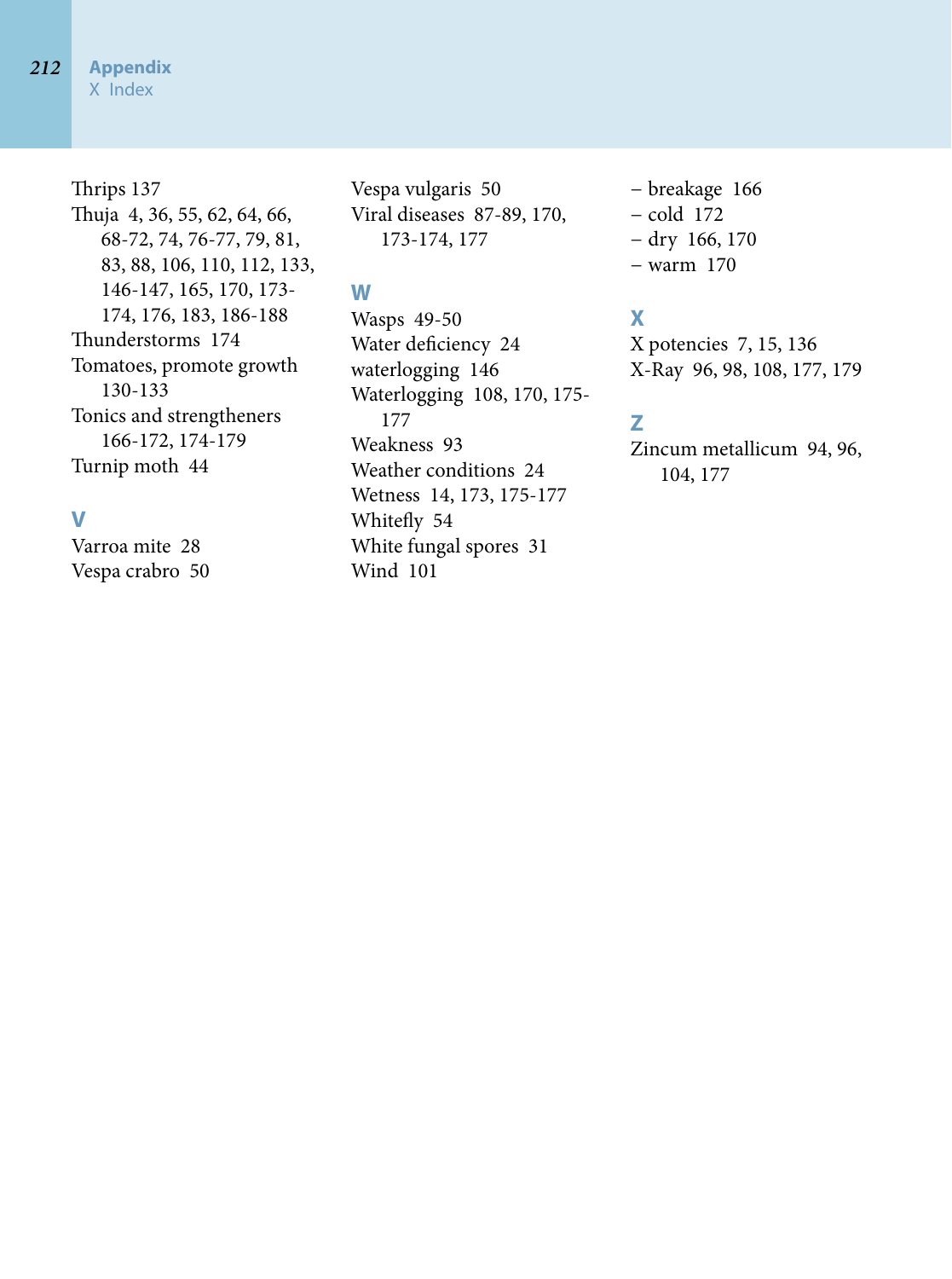### Thrips 137 Thuja 4, 36, 55, 62, 64, 66, 68-72, 74, 76-77, 79, 81, 83, 88, 106, 110, 112, 133, 146-147, 165, 170, 173- 174, 176, 183, 186-188 Thunderstorms 174 Tomatoes, promote growth 130-133 Tonics and strengtheners 166-172, 174-179 Turnip moth 44

### **V**

Varroa mite 28 Vespa crabro 50 Vespa vulgaris 50 Viral diseases 87-89, 170, 173-174, 177

## **W**

Wasps 49-50 Water deficiency 24 waterlogging 146 Waterlogging 108, 170, 175- 177 Weakness 93 Weather conditions 24 Wetness 14, 173, 175-177 Whitefly 54 White fungal spores 31 Wind 101

− breakage 166 − cold 172 − dry 166, 170 − warm 170

# **X**

X potencies 7, 15, 136 X-Ray 96, 98, 108, 177, 179

### **Z**

Zincum metallicum 94, 96, 104, 177